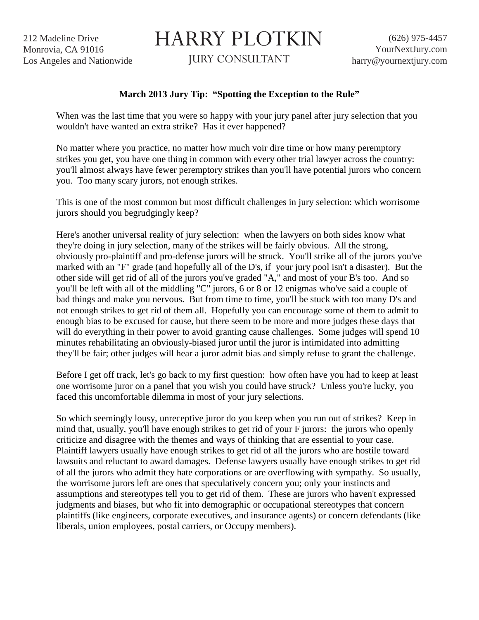212 Madeline Drive Monrovia, CA 91016 Los Angeles and Nationwide

## HARRY PLOTKIN

JURY CONSULTANT

## **March 2013 Jury Tip: "Spotting the Exception to the Rule"**

When was the last time that you were so happy with your jury panel after jury selection that you wouldn't have wanted an extra strike? Has it ever happened?

No matter where you practice, no matter how much voir dire time or how many peremptory strikes you get, you have one thing in common with every other trial lawyer across the country: you'll almost always have fewer peremptory strikes than you'll have potential jurors who concern you. Too many scary jurors, not enough strikes.

This is one of the most common but most difficult challenges in jury selection: which worrisome jurors should you begrudgingly keep?

Here's another universal reality of jury selection: when the lawyers on both sides know what they're doing in jury selection, many of the strikes will be fairly obvious. All the strong, obviously pro-plaintiff and pro-defense jurors will be struck. You'll strike all of the jurors you've marked with an "F" grade (and hopefully all of the D's, if your jury pool isn't a disaster). But the other side will get rid of all of the jurors you've graded "A," and most of your B's too. And so you'll be left with all of the middling "C" jurors, 6 or 8 or 12 enigmas who've said a couple of bad things and make you nervous. But from time to time, you'll be stuck with too many D's and not enough strikes to get rid of them all. Hopefully you can encourage some of them to admit to enough bias to be excused for cause, but there seem to be more and more judges these days that will do everything in their power to avoid granting cause challenges. Some judges will spend 10 minutes rehabilitating an obviously-biased juror until the juror is intimidated into admitting they'll be fair; other judges will hear a juror admit bias and simply refuse to grant the challenge.

Before I get off track, let's go back to my first question: how often have you had to keep at least one worrisome juror on a panel that you wish you could have struck? Unless you're lucky, you faced this uncomfortable dilemma in most of your jury selections.

So which seemingly lousy, unreceptive juror do you keep when you run out of strikes? Keep in mind that, usually, you'll have enough strikes to get rid of your F jurors: the jurors who openly criticize and disagree with the themes and ways of thinking that are essential to your case. Plaintiff lawyers usually have enough strikes to get rid of all the jurors who are hostile toward lawsuits and reluctant to award damages. Defense lawyers usually have enough strikes to get rid of all the jurors who admit they hate corporations or are overflowing with sympathy. So usually, the worrisome jurors left are ones that speculatively concern you; only your instincts and assumptions and stereotypes tell you to get rid of them. These are jurors who haven't expressed judgments and biases, but who fit into demographic or occupational stereotypes that concern plaintiffs (like engineers, corporate executives, and insurance agents) or concern defendants (like liberals, union employees, postal carriers, or Occupy members).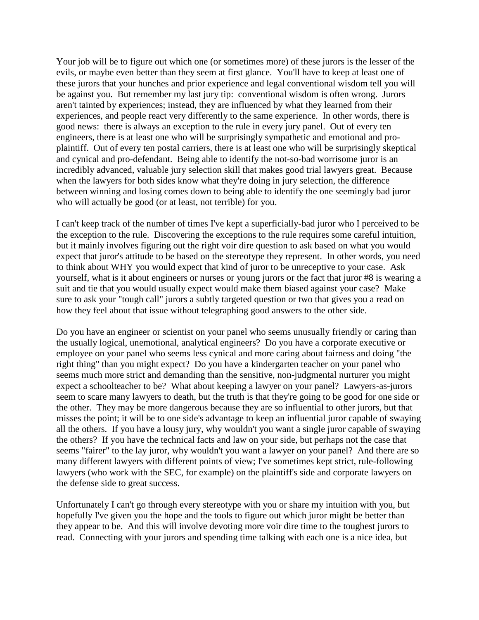Your job will be to figure out which one (or sometimes more) of these jurors is the lesser of the evils, or maybe even better than they seem at first glance. You'll have to keep at least one of these jurors that your hunches and prior experience and legal conventional wisdom tell you will be against you. But remember my last jury tip: conventional wisdom is often wrong. Jurors aren't tainted by experiences; instead, they are influenced by what they learned from their experiences, and people react very differently to the same experience. In other words, there is good news: there is always an exception to the rule in every jury panel. Out of every ten engineers, there is at least one who will be surprisingly sympathetic and emotional and proplaintiff. Out of every ten postal carriers, there is at least one who will be surprisingly skeptical and cynical and pro-defendant. Being able to identify the not-so-bad worrisome juror is an incredibly advanced, valuable jury selection skill that makes good trial lawyers great. Because when the lawyers for both sides know what they're doing in jury selection, the difference between winning and losing comes down to being able to identify the one seemingly bad juror who will actually be good (or at least, not terrible) for you.

I can't keep track of the number of times I've kept a superficially-bad juror who I perceived to be the exception to the rule. Discovering the exceptions to the rule requires some careful intuition, but it mainly involves figuring out the right voir dire question to ask based on what you would expect that juror's attitude to be based on the stereotype they represent. In other words, you need to think about WHY you would expect that kind of juror to be unreceptive to your case. Ask yourself, what is it about engineers or nurses or young jurors or the fact that juror #8 is wearing a suit and tie that you would usually expect would make them biased against your case? Make sure to ask your "tough call" jurors a subtly targeted question or two that gives you a read on how they feel about that issue without telegraphing good answers to the other side.

Do you have an engineer or scientist on your panel who seems unusually friendly or caring than the usually logical, unemotional, analytical engineers? Do you have a corporate executive or employee on your panel who seems less cynical and more caring about fairness and doing "the right thing" than you might expect? Do you have a kindergarten teacher on your panel who seems much more strict and demanding than the sensitive, non-judgmental nurturer you might expect a schoolteacher to be? What about keeping a lawyer on your panel? Lawyers-as-jurors seem to scare many lawyers to death, but the truth is that they're going to be good for one side or the other. They may be more dangerous because they are so influential to other jurors, but that misses the point; it will be to one side's advantage to keep an influential juror capable of swaying all the others. If you have a lousy jury, why wouldn't you want a single juror capable of swaying the others? If you have the technical facts and law on your side, but perhaps not the case that seems "fairer" to the lay juror, why wouldn't you want a lawyer on your panel? And there are so many different lawyers with different points of view; I've sometimes kept strict, rule-following lawyers (who work with the SEC, for example) on the plaintiff's side and corporate lawyers on the defense side to great success.

Unfortunately I can't go through every stereotype with you or share my intuition with you, but hopefully I've given you the hope and the tools to figure out which juror might be better than they appear to be. And this will involve devoting more voir dire time to the toughest jurors to read. Connecting with your jurors and spending time talking with each one is a nice idea, but